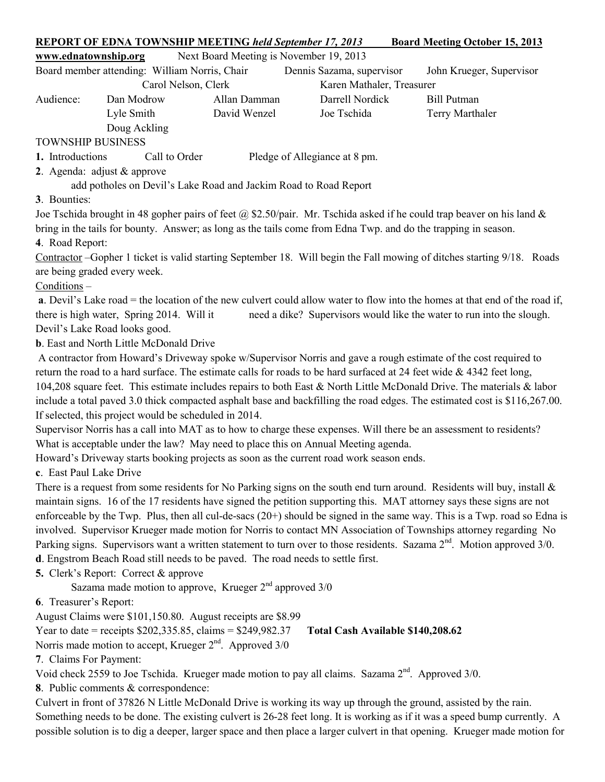| <b>REPORT OF EDNA TOWNSHIP MEETING held September 17, 2013</b><br><b>Board Meeting October 15, 2013</b>                                                                                                                                                |                                                 |              |                                                                                         |                                                                                                                                                                                                                                                   |  |  |  |
|--------------------------------------------------------------------------------------------------------------------------------------------------------------------------------------------------------------------------------------------------------|-------------------------------------------------|--------------|-----------------------------------------------------------------------------------------|---------------------------------------------------------------------------------------------------------------------------------------------------------------------------------------------------------------------------------------------------|--|--|--|
| Next Board Meeting is November 19, 2013<br>www.ednatownship.org                                                                                                                                                                                        |                                                 |              |                                                                                         |                                                                                                                                                                                                                                                   |  |  |  |
|                                                                                                                                                                                                                                                        | Board member attending: William Norris, Chair   |              | Dennis Sazama, supervisor                                                               | John Krueger, Supervisor                                                                                                                                                                                                                          |  |  |  |
| Carol Nelson, Clerk<br>Karen Mathaler, Treasurer                                                                                                                                                                                                       |                                                 |              |                                                                                         |                                                                                                                                                                                                                                                   |  |  |  |
| Audience:                                                                                                                                                                                                                                              | Dan Modrow                                      | Allan Damman | Darrell Nordick                                                                         | <b>Bill Putman</b>                                                                                                                                                                                                                                |  |  |  |
|                                                                                                                                                                                                                                                        | Lyle Smith                                      | David Wenzel | Joe Tschida                                                                             | Terry Marthaler                                                                                                                                                                                                                                   |  |  |  |
|                                                                                                                                                                                                                                                        | Doug Ackling                                    |              |                                                                                         |                                                                                                                                                                                                                                                   |  |  |  |
| <b>TOWNSHIP BUSINESS</b>                                                                                                                                                                                                                               |                                                 |              |                                                                                         |                                                                                                                                                                                                                                                   |  |  |  |
| 1. Introductions                                                                                                                                                                                                                                       | Call to Order                                   |              | Pledge of Allegiance at 8 pm.                                                           |                                                                                                                                                                                                                                                   |  |  |  |
| 2. Agenda: adjust $&$ approve                                                                                                                                                                                                                          |                                                 |              |                                                                                         |                                                                                                                                                                                                                                                   |  |  |  |
|                                                                                                                                                                                                                                                        |                                                 |              | add potholes on Devil's Lake Road and Jackim Road to Road Report                        |                                                                                                                                                                                                                                                   |  |  |  |
| 3. Bounties:                                                                                                                                                                                                                                           |                                                 |              |                                                                                         |                                                                                                                                                                                                                                                   |  |  |  |
|                                                                                                                                                                                                                                                        |                                                 |              |                                                                                         | Joe Tschida brought in 48 gopher pairs of feet $\omega$ \$2.50/pair. Mr. Tschida asked if he could trap beaver on his land &                                                                                                                      |  |  |  |
|                                                                                                                                                                                                                                                        |                                                 |              |                                                                                         | bring in the tails for bounty. Answer; as long as the tails come from Edna Twp. and do the trapping in season.                                                                                                                                    |  |  |  |
| 4. Road Report:                                                                                                                                                                                                                                        |                                                 |              |                                                                                         |                                                                                                                                                                                                                                                   |  |  |  |
| Contractor –Gopher 1 ticket is valid starting September 18. Will begin the Fall mowing of ditches starting 9/18. Roads                                                                                                                                 |                                                 |              |                                                                                         |                                                                                                                                                                                                                                                   |  |  |  |
| are being graded every week.                                                                                                                                                                                                                           |                                                 |              |                                                                                         |                                                                                                                                                                                                                                                   |  |  |  |
| Conditions -                                                                                                                                                                                                                                           |                                                 |              |                                                                                         |                                                                                                                                                                                                                                                   |  |  |  |
|                                                                                                                                                                                                                                                        |                                                 |              |                                                                                         | a. Devil's Lake road = the location of the new culvert could allow water to flow into the homes at that end of the road if,                                                                                                                       |  |  |  |
| there is high water, Spring 2014. Will it<br>need a dike? Supervisors would like the water to run into the slough.                                                                                                                                     |                                                 |              |                                                                                         |                                                                                                                                                                                                                                                   |  |  |  |
| Devil's Lake Road looks good.                                                                                                                                                                                                                          |                                                 |              |                                                                                         |                                                                                                                                                                                                                                                   |  |  |  |
|                                                                                                                                                                                                                                                        | <b>b</b> . East and North Little McDonald Drive |              |                                                                                         |                                                                                                                                                                                                                                                   |  |  |  |
|                                                                                                                                                                                                                                                        |                                                 |              |                                                                                         | A contractor from Howard's Driveway spoke w/Supervisor Norris and gave a rough estimate of the cost required to                                                                                                                                   |  |  |  |
|                                                                                                                                                                                                                                                        |                                                 |              |                                                                                         | return the road to a hard surface. The estimate calls for roads to be hard surfaced at 24 feet wide $\&$ 4342 feet long,<br>104,208 square feet. This estimate includes repairs to both East & North Little McDonald Drive. The materials & labor |  |  |  |
|                                                                                                                                                                                                                                                        |                                                 |              |                                                                                         |                                                                                                                                                                                                                                                   |  |  |  |
| include a total paved 3.0 thick compacted asphalt base and backfilling the road edges. The estimated cost is \$116,267.00.<br>If selected, this project would be scheduled in 2014.                                                                    |                                                 |              |                                                                                         |                                                                                                                                                                                                                                                   |  |  |  |
|                                                                                                                                                                                                                                                        |                                                 |              |                                                                                         |                                                                                                                                                                                                                                                   |  |  |  |
| Supervisor Norris has a call into MAT as to how to charge these expenses. Will there be an assessment to residents?<br>What is acceptable under the law? May need to place this on Annual Meeting agenda.                                              |                                                 |              |                                                                                         |                                                                                                                                                                                                                                                   |  |  |  |
|                                                                                                                                                                                                                                                        |                                                 |              | Howard's Driveway starts booking projects as soon as the current road work season ends. |                                                                                                                                                                                                                                                   |  |  |  |
| c. East Paul Lake Drive                                                                                                                                                                                                                                |                                                 |              |                                                                                         |                                                                                                                                                                                                                                                   |  |  |  |
| There is a request from some residents for No Parking signs on the south end turn around. Residents will buy, install $\&$                                                                                                                             |                                                 |              |                                                                                         |                                                                                                                                                                                                                                                   |  |  |  |
| maintain signs. 16 of the 17 residents have signed the petition supporting this. MAT attorney says these signs are not                                                                                                                                 |                                                 |              |                                                                                         |                                                                                                                                                                                                                                                   |  |  |  |
|                                                                                                                                                                                                                                                        |                                                 |              |                                                                                         | enforceable by the Twp. Plus, then all cul-de-sacs $(20+)$ should be signed in the same way. This is a Twp. road so Edna is                                                                                                                       |  |  |  |
|                                                                                                                                                                                                                                                        |                                                 |              |                                                                                         |                                                                                                                                                                                                                                                   |  |  |  |
| involved. Supervisor Krueger made motion for Norris to contact MN Association of Townships attorney regarding No<br>Parking signs. Supervisors want a written statement to turn over to those residents. Sazama 2 <sup>nd</sup> . Motion approved 3/0. |                                                 |              |                                                                                         |                                                                                                                                                                                                                                                   |  |  |  |
| d. Engstrom Beach Road still needs to be paved. The road needs to settle first.                                                                                                                                                                        |                                                 |              |                                                                                         |                                                                                                                                                                                                                                                   |  |  |  |
| <b>5.</b> Clerk's Report: Correct & approve                                                                                                                                                                                                            |                                                 |              |                                                                                         |                                                                                                                                                                                                                                                   |  |  |  |
| Sazama made motion to approve, Krueger 2 <sup>nd</sup> approved 3/0                                                                                                                                                                                    |                                                 |              |                                                                                         |                                                                                                                                                                                                                                                   |  |  |  |
| 6. Treasurer's Report:                                                                                                                                                                                                                                 |                                                 |              |                                                                                         |                                                                                                                                                                                                                                                   |  |  |  |
| August Claims were \$101,150.80. August receipts are \$8.99                                                                                                                                                                                            |                                                 |              |                                                                                         |                                                                                                                                                                                                                                                   |  |  |  |
| Year to date = receipts $$202,335.85$ , claims = $$249,982.37$<br>Total Cash Available \$140,208.62                                                                                                                                                    |                                                 |              |                                                                                         |                                                                                                                                                                                                                                                   |  |  |  |
| Norris made motion to accept, Krueger $2nd$ . Approved 3/0                                                                                                                                                                                             |                                                 |              |                                                                                         |                                                                                                                                                                                                                                                   |  |  |  |
| 7. Claims For Payment:                                                                                                                                                                                                                                 |                                                 |              |                                                                                         |                                                                                                                                                                                                                                                   |  |  |  |
| Void check 2559 to Joe Tschida. Krueger made motion to pay all claims. Sazama 2 <sup>nd</sup> . Approved 3/0.                                                                                                                                          |                                                 |              |                                                                                         |                                                                                                                                                                                                                                                   |  |  |  |
| 8. Public comments & correspondence:                                                                                                                                                                                                                   |                                                 |              |                                                                                         |                                                                                                                                                                                                                                                   |  |  |  |
| Culvert in front of 37826 N Little McDonald Drive is working its way up through the ground, assisted by the rain.                                                                                                                                      |                                                 |              |                                                                                         |                                                                                                                                                                                                                                                   |  |  |  |
| Something needs to be done. The existing culvert is 26-28 feet long. It is working as if it was a speed bump currently. A                                                                                                                              |                                                 |              |                                                                                         |                                                                                                                                                                                                                                                   |  |  |  |
| possible solution is to dig a deeper, larger space and then place a larger culvert in that opening. Krueger made motion for                                                                                                                            |                                                 |              |                                                                                         |                                                                                                                                                                                                                                                   |  |  |  |